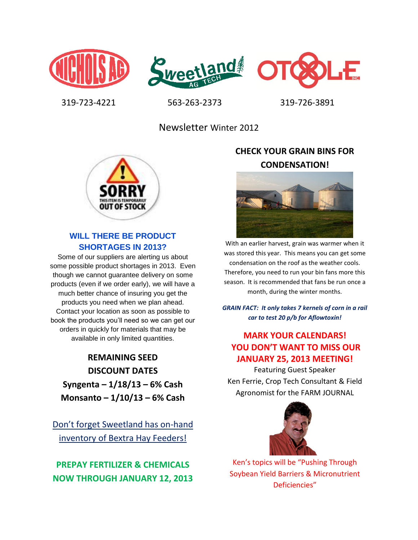





319-723-4221 563-263-2373 319-726-3891

Newsletter Winter 2012



### **WILL THERE BE PRODUCT SHORTAGES IN 2013?**

Some of our suppliers are alerting us about some possible product shortages in 2013. Even though we cannot guarantee delivery on some products (even if we order early), we will have a much better chance of insuring you get the products you need when we plan ahead. Contact your location as soon as possible to book the products you'll need so we can get our orders in quickly for materials that may be available in only limited quantities.

**REMAINING SEED DISCOUNT DATES Syngenta – 1/18/13 – 6% Cash Monsanto – 1/10/13 – 6% Cash**

Don't forget Sweetland has on-hand inventory of Bextra Hay Feeders!

**PREPAY FERTILIZER & CHEMICALS NOW THROUGH JANUARY 12, 2013**

# **CHECK YOUR GRAIN BINS FOR CONDENSATION!**



With an earlier harvest, grain was warmer when it was stored this year. This means you can get some condensation on the roof as the weather cools. Therefore, you need to run your bin fans more this season. It is recommended that fans be run once a month, during the winter months.

*GRAIN FACT: It only takes 7 kernels of corn in a rail car to test 20 p/b for Aflowtoxin!*

# **MARK YOUR CALENDARS! YOU DON'T WANT TO MISS OUR JANUARY 25, 2013 MEETING!**

Featuring Guest Speaker Ken Ferrie, Crop Tech Consultant & Field Agronomist for the FARM JOURNAL



Ken's topics will be "Pushing Through Soybean Yield Barriers & Micronutrient Deficiencies"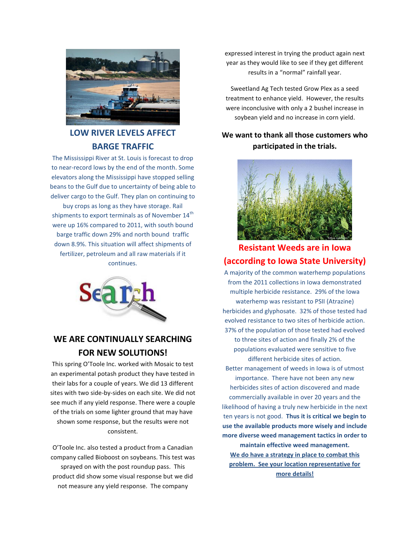

### **LOW RIVER LEVELS AFFECT BARGE TRAFFIC**

The Mississippi River at St. Louis is forecast to drop to near-record lows by the end of the month. Some elevators along the Mississippi have stopped selling beans to the Gulf due to uncertainty of being able to deliver cargo to the Gulf. They plan on continuing to

buy crops as long as they have storage. Rail shipments to export terminals as of November 14<sup>th</sup> were up 16% compared to 2011, with south bound barge traffic down 29% and north bound traffic down 8.9%. This situation will affect shipments of fertilizer, petroleum and all raw materials if it continues.



## **WE ARE CONTINUALLY SEARCHING FOR NEW SOLUTIONS!**

This spring O'Toole Inc. worked with Mosaic to test an experimental potash product they have tested in their labs for a couple of years. We did 13 different sites with two side-by-sides on each site. We did not see much if any yield response. There were a couple of the trials on some lighter ground that may have shown some response, but the results were not consistent.

O'Toole Inc. also tested a product from a Canadian company called Bioboost on soybeans. This test was sprayed on with the post roundup pass. This product did show some visual response but we did not measure any yield response. The company

expressed interest in trying the product again next year as they would like to see if they get different results in a "normal" rainfall year.

Sweetland Ag Tech tested Grow Plex as a seed treatment to enhance yield. However, the results were inconclusive with only a 2 bushel increase in soybean yield and no increase in corn yield.

### **We want to thank all those customers who participated in the trials.**



## **Resistant Weeds are in Iowa (according to Iowa State University)**

A majority of the common waterhemp populations from the 2011 collections in Iowa demonstrated multiple herbicide resistance. 29% of the Iowa waterhemp was resistant to PSII (Atrazine) herbicides and glyphosate. 32% of those tested had evolved resistance to two sites of herbicide action. 37% of the population of those tested had evolved to three sites of action and finally 2% of the populations evaluated were sensitive to five different herbicide sites of action. Better management of weeds in Iowa is of utmost importance. There have not been any new herbicides sites of action discovered and made commercially available in over 20 years and the likelihood of having a truly new herbicide in the next ten years is not good. **Thus it is critical we begin to use the available products more wisely and include more diverse weed management tactics in order to maintain effective weed management.**

**We do have a strategy in place to combat this problem. See your location representative for more details!**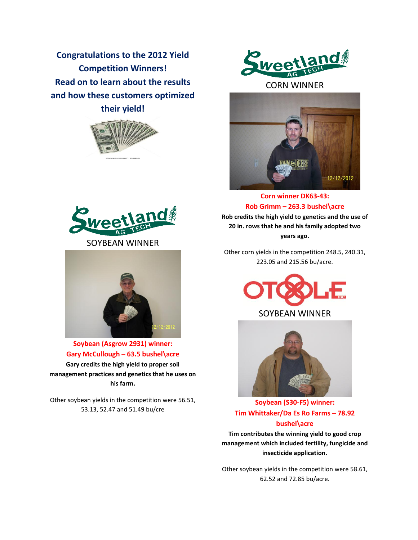**Congratulations to the 2012 Yield Competition Winners! Read on to learn about the results and how these customers optimized their yield!**







**Soybean (Asgrow 2931) winner: Gary McCullough – 63.5 bushel\acre Gary credits the high yield to proper soil management practices and genetics that he uses on his farm.**

Other soybean yields in the competition were 56.51, 53.13, 52.47 and 51.49 bu/cre



CORN WINNER



**Corn winner DK63-43: Rob Grimm – 263.3 bushel\acre Rob credits the high yield to genetics and the use of 20 in. rows that he and his family adopted two years ago.**

Other corn yields in the competition 248.5, 240.31, 223.05 and 215.56 bu/acre.





**Soybean (S30-F5) winner: Tim Whittaker/Da Es Ro Farms – 78.92 bushel\acre**

**Tim contributes the winning yield to good crop management which included fertility, fungicide and insecticide application.**

Other soybean yields in the competition were 58.61, 62.52 and 72.85 bu/acre.